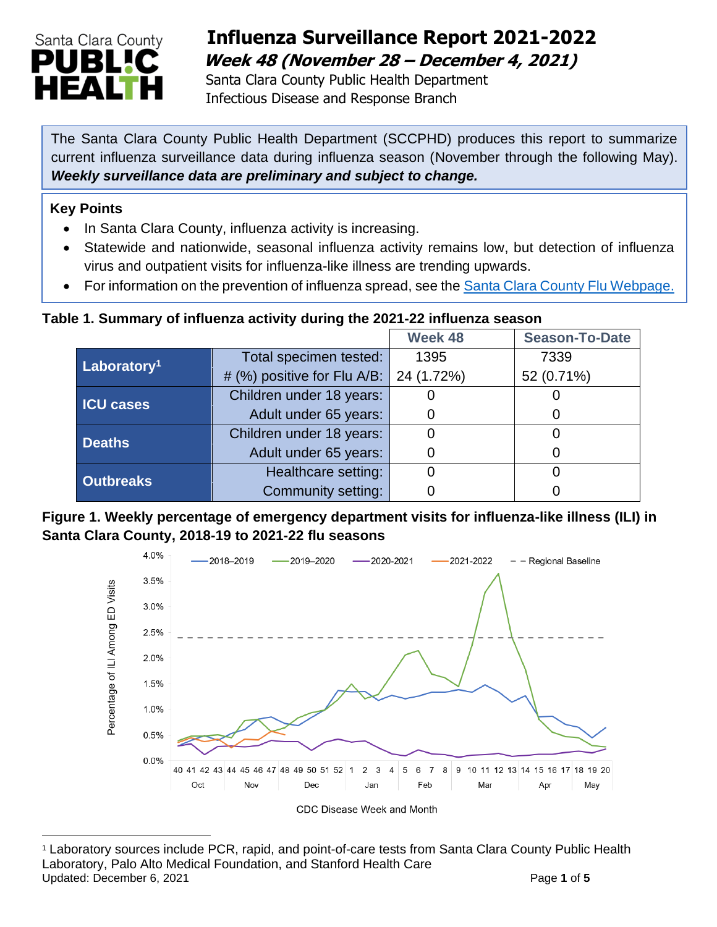

# **Influenza Surveillance Report 2021-2022 Week 48 (November 28 – December 4, 2021)**

 Santa Clara County Public Health Department Infectious Disease and Response Branch

The Santa Clara County Public Health Department (SCCPHD) produces this report to summarize current influenza surveillance data during influenza season (November through the following May). *Weekly surveillance data are preliminary and subject to change.* 

### **Key Points**

- In Santa Clara County, influenza activity is increasing.
- Statewide and nationwide, seasonal influenza activity remains low, but detection of influenza virus and outpatient visits for influenza-like illness are trending upwards.
- For information on the prevention of influenza spread, see the [Santa Clara County Flu Webpage.](https://publichealth.sccgov.org/disease-information/influenza-flu)

### **Table 1. Summary of influenza activity during the 2021-22 influenza season**

|                         |                             | Week 48    | <b>Season-To-Date</b> |
|-------------------------|-----------------------------|------------|-----------------------|
| Laboratory <sup>1</sup> | Total specimen tested:      | 1395       | 7339                  |
|                         | # (%) positive for Flu A/B: | 24 (1.72%) | 52 (0.71%)            |
| <b>ICU cases</b>        | Children under 18 years:    |            |                       |
|                         | Adult under 65 years:       |            | O                     |
| <b>Deaths</b>           | Children under 18 years:    |            |                       |
|                         | Adult under 65 years:       |            |                       |
| <b>Outbreaks</b>        | Healthcare setting:         |            |                       |
|                         | Community setting:          |            |                       |

### **Figure 1. Weekly percentage of emergency department visits for influenza-like illness (ILI) in Santa Clara County, 2018-19 to 2021-22 flu seasons**



<sup>1</sup> Laboratory sources include PCR, rapid, and point-of-care tests from Santa Clara County Public Health Laboratory, Palo Alto Medical Foundation, and Stanford Health Care Updated: December 6, 2021 **Page 1** of 5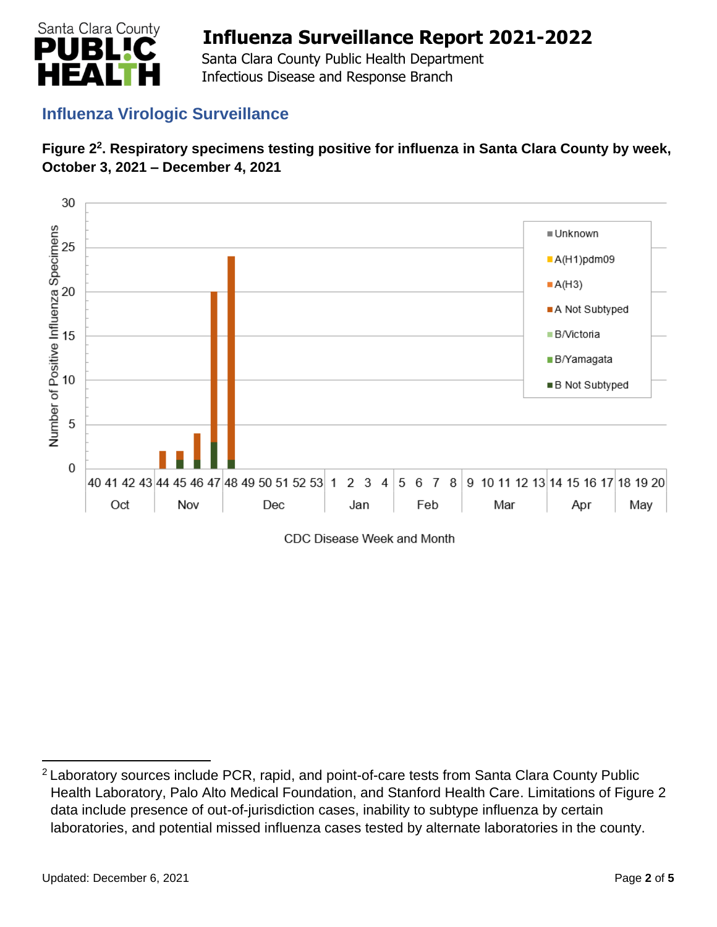

 Santa Clara County Public Health Department Infectious Disease and Response Branch

## **Influenza Virologic Surveillance**





CDC Disease Week and Month

<sup>2</sup>Laboratory sources include PCR, rapid, and point-of-care tests from Santa Clara County Public Health Laboratory, Palo Alto Medical Foundation, and Stanford Health Care. Limitations of Figure 2 data include presence of out-of-jurisdiction cases, inability to subtype influenza by certain laboratories, and potential missed influenza cases tested by alternate laboratories in the county.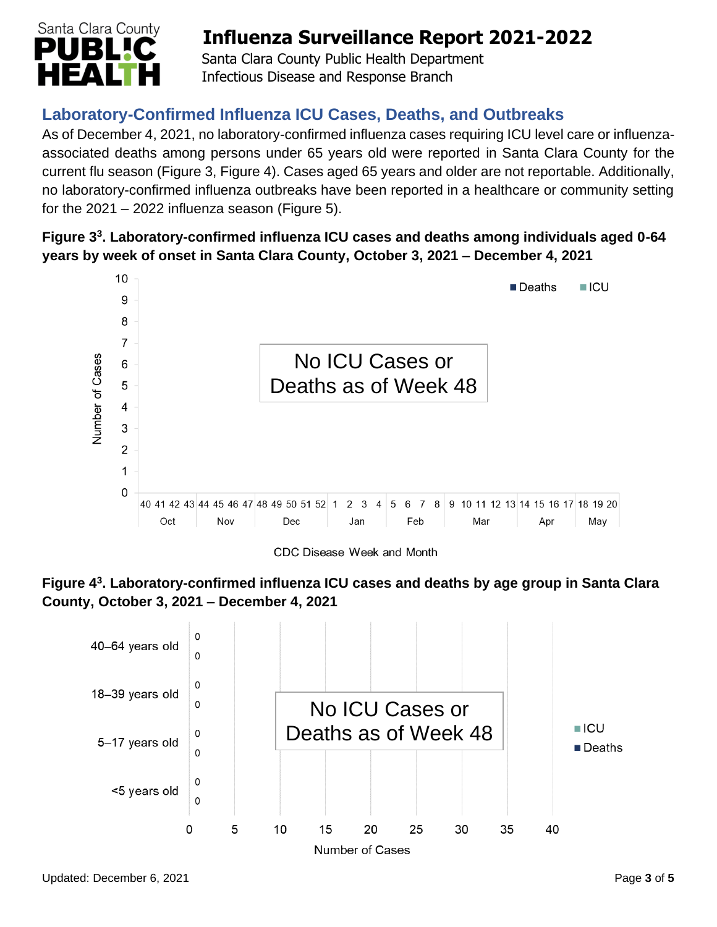

 Santa Clara County Public Health Department Infectious Disease and Response Branch

# **Laboratory-Confirmed Influenza ICU Cases, Deaths, and Outbreaks**

As of December 4, 2021, no laboratory-confirmed influenza cases requiring ICU level care or influenzaassociated deaths among persons under 65 years old were reported in Santa Clara County for the current flu season (Figure 3, Figure 4). Cases aged 65 years and older are not reportable. Additionally, no laboratory-confirmed influenza outbreaks have been reported in a healthcare or community setting for the  $2021 - 2022$  influenza season (Figure 5).

### **Figure 3<sup>3</sup> . Laboratory-confirmed influenza ICU cases and deaths among individuals aged 0-64 years by week of onset in Santa Clara County, October 3, 2021 – December 4, 2021**



CDC Disease Week and Month



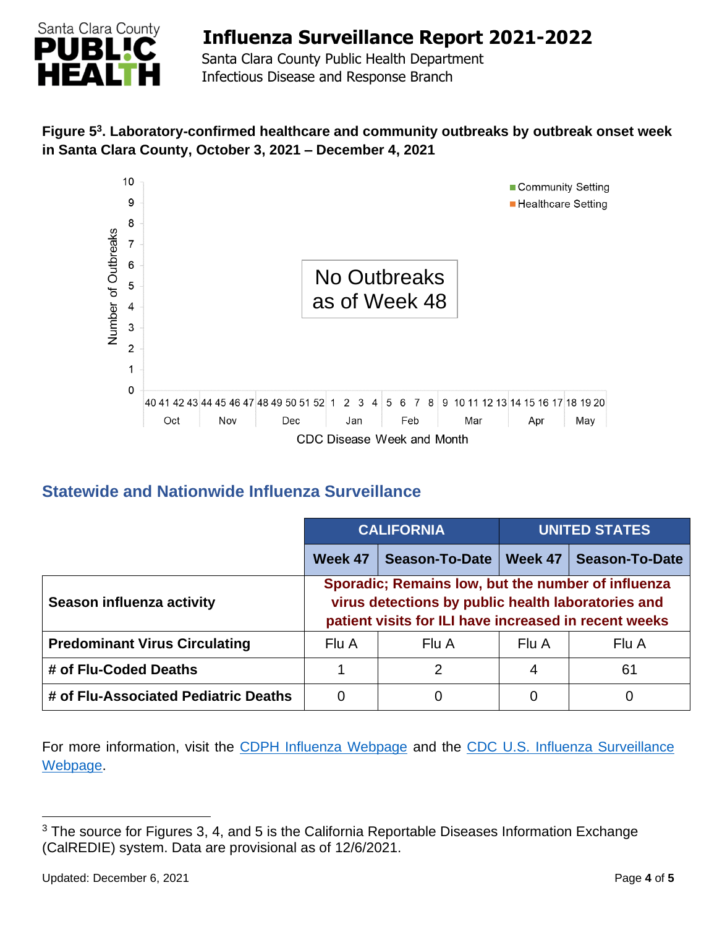

 Santa Clara County Public Health Department Infectious Disease and Response Branch

### **Figure 5<sup>3</sup> . Laboratory-confirmed healthcare and community outbreaks by outbreak onset week in Santa Clara County, October 3, 2021 – December 4, 2021**



## **Statewide and Nationwide Influenza Surveillance**

|                                      | <b>CALIFORNIA</b>                                                                                                                                                 |                       | <b>UNITED STATES</b> |                       |  |
|--------------------------------------|-------------------------------------------------------------------------------------------------------------------------------------------------------------------|-----------------------|----------------------|-----------------------|--|
|                                      | Week 47                                                                                                                                                           | <b>Season-To-Date</b> | Week 47              | <b>Season-To-Date</b> |  |
| Season influenza activity            | Sporadic; Remains low, but the number of influenza<br>virus detections by public health laboratories and<br>patient visits for ILI have increased in recent weeks |                       |                      |                       |  |
| <b>Predominant Virus Circulating</b> | Flu A                                                                                                                                                             | Flu A                 | Flu A                | Flu A                 |  |
| # of Flu-Coded Deaths                |                                                                                                                                                                   | $\mathcal{P}$         | 4                    | 61                    |  |
| # of Flu-Associated Pediatric Deaths | O                                                                                                                                                                 | 0                     | 0                    | 0                     |  |

For more information, visit the [CDPH Influenza Webpage](http://www.cdph.ca.gov/Programs/CID/DCDC/Pages/Immunization/Influenza.aspx) and the CDC U.S. Influenza Surveillance [Webpage.](http://www.cdc.gov/flu/weekly/)

<sup>&</sup>lt;sup>3</sup> The source for Figures 3, 4, and 5 is the California Reportable Diseases Information Exchange (CalREDIE) system. Data are provisional as of 12/6/2021.